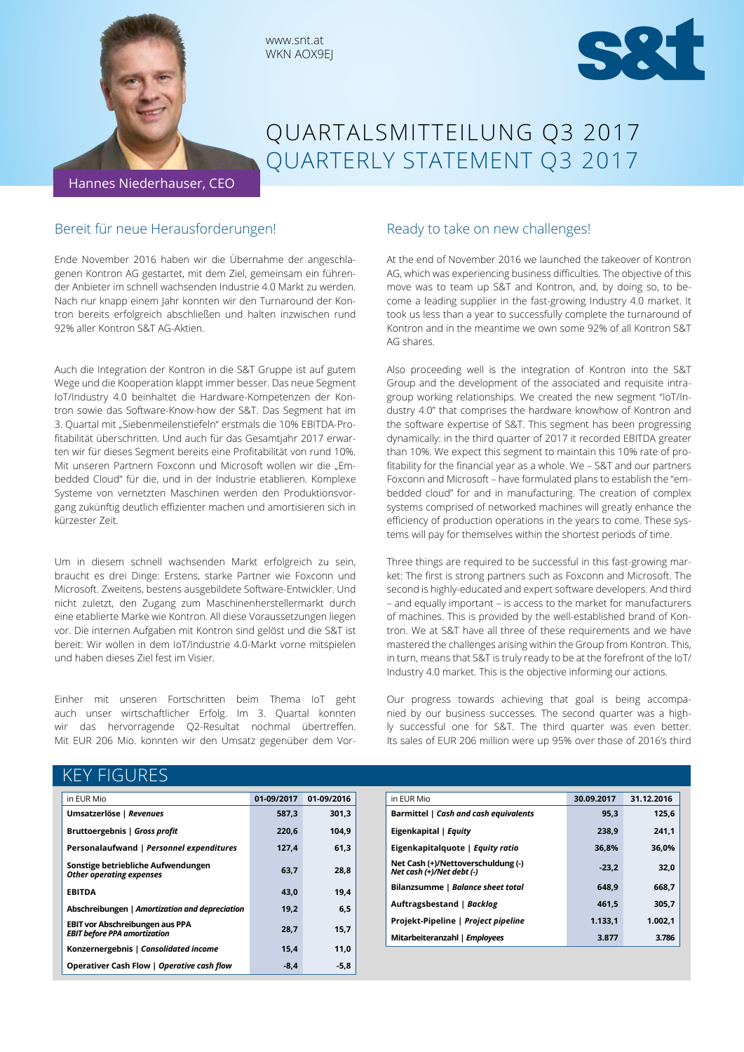

# QUARTALSMITTEILUNG Q3 2017 QUARTERLY STATEMENT Q3 2017

Hannes Niederhauser, CEO

# Bereit für neue Herausforderungen!

Ende November 2016 haben wir die Übernahme der angeschlagenen Kontron AG gestartet, mit dem Ziel, gemeinsam ein führender Anbieter im schnell wachsenden Industrie 4.0 Markt zu werden. Nach nur knapp einem Jahr konnten wir den Turnaround der Kontron bereits erfolgreich abschließen und halten inzwischen rund 92% aller Kontron S&T AG-Aktien.

www.snt.at WKN AOX9EJ

Auch die Integration der Kontron in die S&T Gruppe ist auf gutem Wege und die Kooperation klappt immer besser. Das neue Segment IoT/Industry 4.0 beinhaltet die Hardware-Kompetenzen der Kontron sowie das Software-Know-how der S&T. Das Segment hat im 3. Quartal mit "Siebenmeilenstiefeln" erstmals die 10% EBITDA-Profitabilität überschritten. Und auch für das Gesamtjahr 2017 erwarten wir für dieses Segment bereits eine Profitabilität von rund 10%. Mit unseren Partnern Foxconn und Microsoft wollen wir die "Embedded Cloud" für die, und in der Industrie etablieren. Komplexe Systeme von vernetzten Maschinen werden den Produktionsvorgang zukünftig deutlich effizienter machen und amortisieren sich in kürzester Zeit.

Um in diesem schnell wachsenden Markt erfolgreich zu sein, braucht es drei Dinge: Erstens, starke Partner wie Foxconn und Microsoft. Zweitens, bestens ausgebildete Software-Entwickler. Und nicht zuletzt, den Zugang zum Maschinenherstellermarkt durch eine etablierte Marke wie Kontron. All diese Voraussetzungen liegen vor. Die internen Aufgaben mit Kontron sind gelöst und die S&T ist bereit: Wir wollen in dem IoT/Industrie 4.0-Markt vorne mitspielen und haben dieses Ziel fest im Visier.

Einher mit unseren Fortschritten beim Thema IoT geht auch unser wirtschaftlicher Erfolg. Im 3. Quartal konnten wir das hervorragende Q2-Resultat nochmal übertreffen. Mit EUR 206 Mio. konnten wir den Umsatz gegenüber dem Vor-

# Ready to take on new challenges!

At the end of November 2016 we launched the takeover of Kontron AG, which was experiencing business difficulties. The objective of this move was to team up S&T and Kontron, and, by doing so, to become a leading supplier in the fast-growing Industry 4.0 market. It took us less than a year to successfully complete the turnaround of Kontron and in the meantime we own some 92% of all Kontron S&T AG shares.

Also proceeding well is the integration of Kontron into the S&T Group and the development of the associated and requisite intragroup working relationships. We created the new segment "IoT/Industry 4.0" that comprises the hardware knowhow of Kontron and the software expertise of S&T. This segment has been progressing dynamically: in the third quarter of 2017 it recorded EBITDA greater than 10%. We expect this segment to maintain this 10% rate of profitability for the financial year as a whole. We – S&T and our partners Foxconn and Microsoft – have formulated plans to establish the "embedded cloud" for and in manufacturing. The creation of complex systems comprised of networked machines will greatly enhance the efficiency of production operations in the years to come. These systems will pay for themselves within the shortest periods of time.

Three things are required to be successful in this fast-growing market: The first is strong partners such as Foxconn and Microsoft. The second is highly-educated and expert software developers. And third – and equally important – is access to the market for manufacturers of machines. This is provided by the well-established brand of Kontron. We at S&T have all three of these requirements and we have mastered the challenges arising within the Group from Kontron. This, in turn, means that S&T is truly ready to be at the forefront of the IoT/ Industry 4.0 market. This is the objective informing our actions.

Our progress towards achieving that goal is being accompanied by our business successes. The second quarter was a highly successful one for S&T. The third quarter was even better. Its sales of EUR 206 million were up 95% over those of 2016's third

# KEY FIGURES

| in EUR Mio                                                                    | 01-09/2017 | 01-09/2016 |
|-------------------------------------------------------------------------------|------------|------------|
| Umsatzerlöse   Revenues                                                       | 587,3      | 301,3      |
| Bruttoergebnis   Gross profit                                                 | 220.6      | 104.9      |
| Personalaufwand   Personnel expenditures                                      | 127,4      | 61,3       |
| Sonstige betriebliche Aufwendungen<br><b>Other operating expenses</b>         | 63,7       | 28,8       |
| <b>EBITDA</b>                                                                 | 43.0       | 19.4       |
| Abschreibungen   Amortization and depreciation                                | 19,2       | 6,5        |
| <b>EBIT vor Abschreibungen aus PPA</b><br><b>EBIT before PPA amortization</b> | 28.7       | 15,7       |
| Konzernergebnis   Consolidated income                                         | 15,4       | 11,0       |
| Operativer Cash Flow   Operative cash flow                                    | $-8,4$     | $-5.8$     |

| in EUR Mio                                                      | 30.09.2017 | 31.12.2016 |
|-----------------------------------------------------------------|------------|------------|
| Barmittel   Cash and cash equivalents                           | 95.3       | 125.6      |
| Eigenkapital   Equity                                           | 238.9      | 241.1      |
| Eigenkapitalquote   Equity ratio                                | 36.8%      | 36,0%      |
| Net Cash (+)/Nettoverschuldung (-)<br>Net cash (+)/Net debt (-) | $-23.2$    | 32,0       |
| Bilanzsumme   Balance sheet total                               | 648.9      | 668,7      |
| Auftragsbestand   Backlog                                       | 461.5      | 305,7      |
| Projekt-Pipeline   Project pipeline                             | 1.133,1    | 1.002.1    |
| Mitarbeiteranzahl   Employees                                   | 3.877      | 3.786      |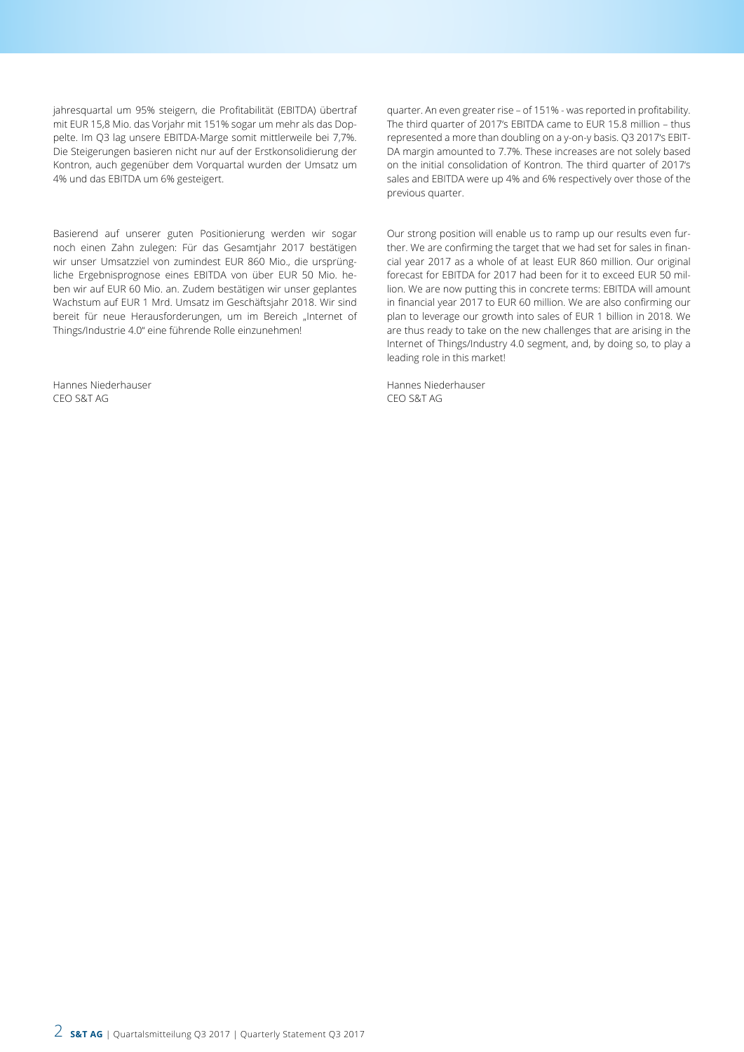jahresquartal um 95% steigern, die Profitabilität (EBITDA) übertraf mit EUR 15,8 Mio. das Vorjahr mit 151% sogar um mehr als das Doppelte. Im Q3 lag unsere EBITDA-Marge somit mittlerweile bei 7,7%. Die Steigerungen basieren nicht nur auf der Erstkonsolidierung der Kontron, auch gegenüber dem Vorquartal wurden der Umsatz um 4% und das EBITDA um 6% gesteigert.

Basierend auf unserer guten Positionierung werden wir sogar noch einen Zahn zulegen: Für das Gesamtjahr 2017 bestätigen wir unser Umsatzziel von zumindest EUR 860 Mio., die ursprüngliche Ergebnisprognose eines EBITDA von über EUR 50 Mio. heben wir auf EUR 60 Mio. an. Zudem bestätigen wir unser geplantes Wachstum auf EUR 1 Mrd. Umsatz im Geschäftsjahr 2018. Wir sind bereit für neue Herausforderungen, um im Bereich "Internet of Things/Industrie 4.0" eine führende Rolle einzunehmen!

Hannes Niederhauser CEO S&T AG

quarter. An even greater rise – of 151% - was reported in profitability. The third quarter of 2017's EBITDA came to EUR 15.8 million – thus represented a more than doubling on a y-on-y basis. Q3 2017's EBIT-DA margin amounted to 7.7%. These increases are not solely based on the initial consolidation of Kontron. The third quarter of 2017's sales and EBITDA were up 4% and 6% respectively over those of the previous quarter.

Our strong position will enable us to ramp up our results even further. We are confirming the target that we had set for sales in financial year 2017 as a whole of at least EUR 860 million. Our original forecast for EBITDA for 2017 had been for it to exceed EUR 50 million. We are now putting this in concrete terms: EBITDA will amount in financial year 2017 to EUR 60 million. We are also confirming our plan to leverage our growth into sales of EUR 1 billion in 2018. We are thus ready to take on the new challenges that are arising in the Internet of Things/Industry 4.0 segment, and, by doing so, to play a leading role in this market!

Hannes Niederhauser CEO S&T AG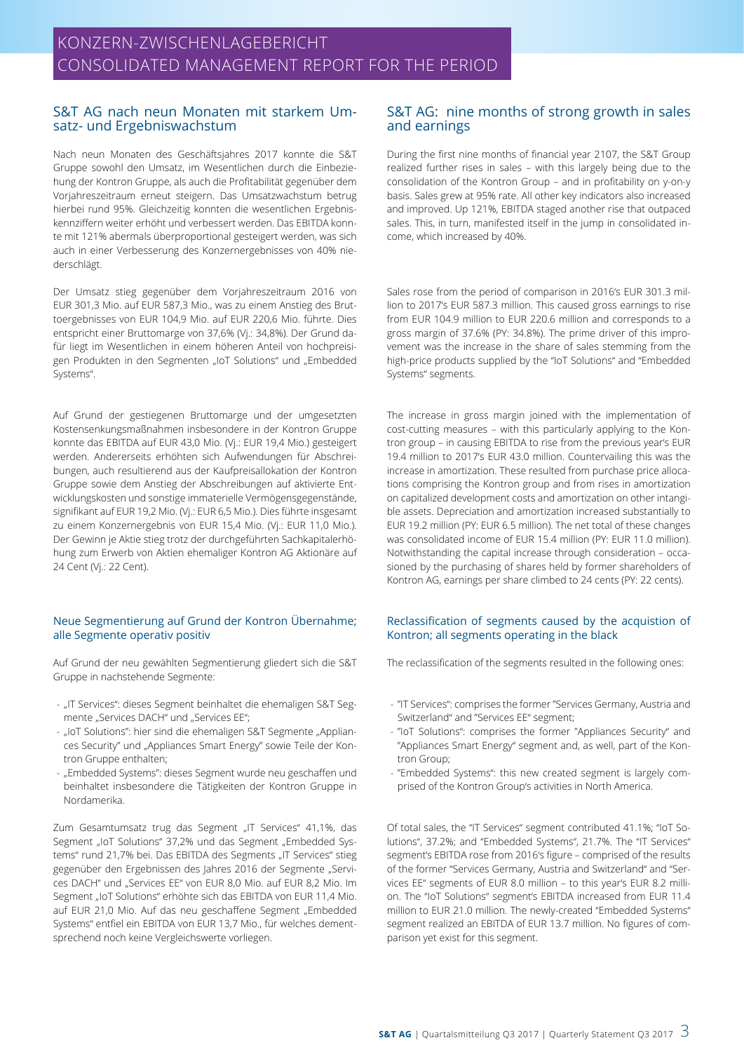### S&T AG nach neun Monaten mit starkem Umsatz- und Ergebniswachstum

Nach neun Monaten des Geschäftsjahres 2017 konnte die S&T Gruppe sowohl den Umsatz, im Wesentlichen durch die Einbeziehung der Kontron Gruppe, als auch die Profitabilität gegenüber dem Vorjahreszeitraum erneut steigern. Das Umsatzwachstum betrug hierbei rund 95%. Gleichzeitig konnten die wesentlichen Ergebniskennziffern weiter erhöht und verbessert werden. Das EBITDA konnte mit 121% abermals überproportional gesteigert werden, was sich auch in einer Verbesserung des Konzernergebnisses von 40% niederschlägt.

Der Umsatz stieg gegenüber dem Vorjahreszeitraum 2016 von EUR 301,3 Mio. auf EUR 587,3 Mio., was zu einem Anstieg des Bruttoergebnisses von EUR 104,9 Mio. auf EUR 220,6 Mio. führte. Dies entspricht einer Bruttomarge von 37,6% (Vj.: 34,8%). Der Grund dafür liegt im Wesentlichen in einem höheren Anteil von hochpreisigen Produkten in den Segmenten "IoT Solutions" und "Embedded Systems".

Auf Grund der gestiegenen Bruttomarge und der umgesetzten Kostensenkungsmaßnahmen insbesondere in der Kontron Gruppe konnte das EBITDA auf EUR 43,0 Mio. (Vj.: EUR 19,4 Mio.) gesteigert werden. Andererseits erhöhten sich Aufwendungen für Abschreibungen, auch resultierend aus der Kaufpreisallokation der Kontron Gruppe sowie dem Anstieg der Abschreibungen auf aktivierte Entwicklungskosten und sonstige immaterielle Vermögensgegenstände, signifikant auf EUR 19,2 Mio. (Vj.: EUR 6,5 Mio.). Dies führte insgesamt zu einem Konzernergebnis von EUR 15,4 Mio. (Vj.: EUR 11,0 Mio.). Der Gewinn je Aktie stieg trotz der durchgeführten Sachkapitalerhöhung zum Erwerb von Aktien ehemaliger Kontron AG Aktionäre auf 24 Cent (Vj.: 22 Cent).

### Neue Segmentierung auf Grund der Kontron Übernahme; alle Segmente operativ positiv

Auf Grund der neu gewählten Segmentierung gliedert sich die S&T Gruppe in nachstehende Segmente:

- "IT Services": dieses Segment beinhaltet die ehemaligen S&T Segmente "Services DACH" und "Services EE";
- "IoT Solutions": hier sind die ehemaligen S&T Segmente "Appliances Security" und "Appliances Smart Energy" sowie Teile der Kontron Gruppe enthalten;
- "Embedded Systems": dieses Segment wurde neu geschaffen und beinhaltet insbesondere die Tätigkeiten der Kontron Gruppe in Nordamerika.

Zum Gesamtumsatz trug das Segment "IT Services" 41,1%, das Segment "IoT Solutions" 37,2% und das Segment "Embedded Systems" rund 21,7% bei. Das EBITDA des Segments "IT Services" stieg gegenüber den Ergebnissen des Jahres 2016 der Segmente "Services DACH" und "Services EE" von EUR 8,0 Mio. auf EUR 8,2 Mio. Im Segment "IoT Solutions" erhöhte sich das EBITDA von EUR 11,4 Mio. auf EUR 21,0 Mio. Auf das neu geschaffene Segment "Embedded Systems" entfiel ein EBITDA von EUR 13,7 Mio., für welches dementsprechend noch keine Vergleichswerte vorliegen.

# S&T AG: nine months of strong growth in sales and earnings

During the first nine months of financial year 2107, the S&T Group realized further rises in sales – with this largely being due to the consolidation of the Kontron Group – and in profitability on y-on-y basis. Sales grew at 95% rate. All other key indicators also increased and improved. Up 121%, EBITDA staged another rise that outpaced sales. This, in turn, manifested itself in the jump in consolidated income, which increased by 40%.

Sales rose from the period of comparison in 2016's EUR 301.3 million to 2017's EUR 587.3 million. This caused gross earnings to rise from EUR 104.9 million to EUR 220.6 million and corresponds to a gross margin of 37.6% (PY: 34.8%). The prime driver of this improvement was the increase in the share of sales stemming from the high-price products supplied by the "IoT Solutions" and "Embedded Systems" segments.

The increase in gross margin joined with the implementation of cost-cutting measures – with this particularly applying to the Kontron group – in causing EBITDA to rise from the previous year's EUR 19.4 million to 2017's EUR 43.0 million. Countervailing this was the increase in amortization. These resulted from purchase price allocations comprising the Kontron group and from rises in amortization on capitalized development costs and amortization on other intangible assets. Depreciation and amortization increased substantially to EUR 19.2 million (PY: EUR 6.5 million). The net total of these changes was consolidated income of EUR 15.4 million (PY: EUR 11.0 million). Notwithstanding the capital increase through consideration – occasioned by the purchasing of shares held by former shareholders of Kontron AG, earnings per share climbed to 24 cents (PY: 22 cents).

### Reclassification of segments caused by the acquistion of Kontron; all segments operating in the black

The reclassification of the segments resulted in the following ones:

- "IT Services": comprises the former "Services Germany, Austria and Switzerland" and "Services EE" segment;
- "IoT Solutions": comprises the former "Appliances Security" and "Appliances Smart Energy" segment and, as well, part of the Kontron Group;
- "Embedded Systems": this new created segment is largely comprised of the Kontron Group's activities in North America.

Of total sales, the "IT Services" segment contributed 41.1%; "IoT Solutions", 37.2%; and "Embedded Systems", 21.7%. The "IT Services" segment's EBITDA rose from 2016's figure – comprised of the results of the former "Services Germany, Austria and Switzerland" and "Services EE" segments of EUR 8.0 million – to this year's EUR 8.2 million. The "IoT Solutions" segment's EBITDA increased from EUR 11.4 million to EUR 21.0 million. The newly-created "Embedded Systems" segment realized an EBITDA of EUR 13.7 million. No figures of comparison yet exist for this segment.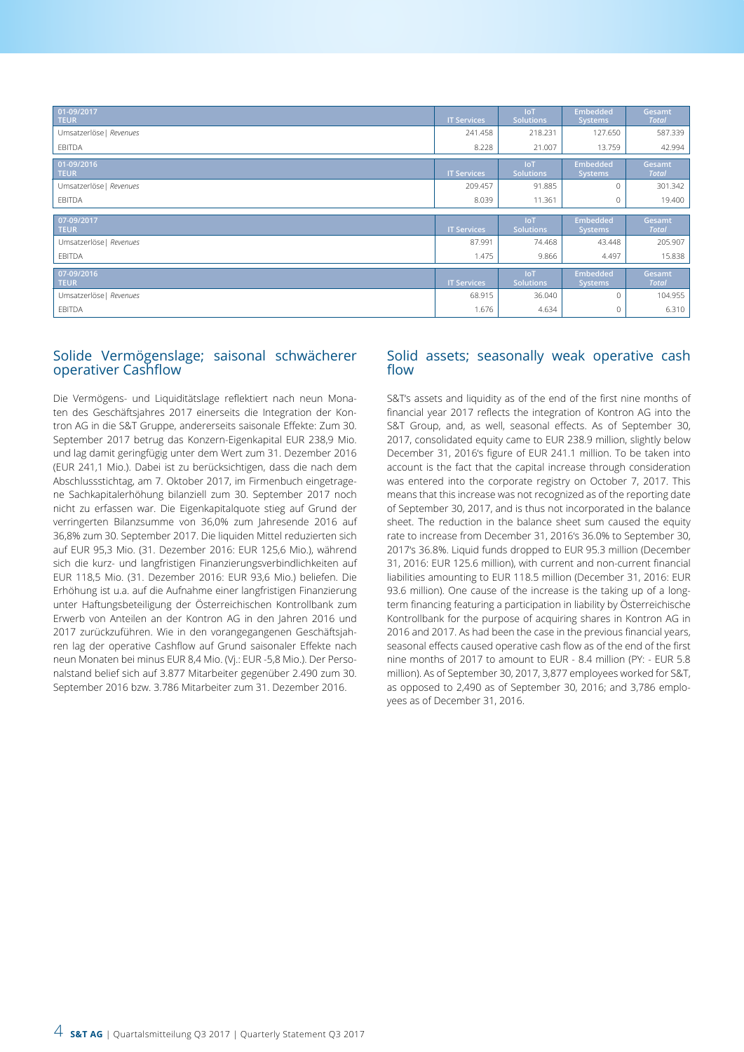| 01-09/2017<br><b>TEUR</b> | <b>IT Services</b> | loT<br>Solutions        | <b>Embedded</b><br><b>Systems</b> | Gesamt<br><b>Total</b> |
|---------------------------|--------------------|-------------------------|-----------------------------------|------------------------|
| Umsatzerlöse   Revenues   | 241.458            | 218.231                 | 127.650                           | 587.339                |
| EBITDA                    | 8.228              | 21.007                  | 13.759                            | 42.994                 |
| 01-09/2016<br><b>TEUR</b> | <b>IT Services</b> | loT<br><b>Solutions</b> | <b>Embedded</b><br><b>Systems</b> | Gesamt<br><b>Total</b> |
| Umsatzerlöse   Revenues   | 209.457            | 91.885                  | $\Omega$                          | 301.342                |
| EBITDA                    | 8.039              | 11.361                  | $\mathbf 0$                       | 19.400                 |
| 07-09/2017                |                    | loT.                    | <b>Embedded</b>                   | Gesamt                 |
| <b>TEUR</b>               | <b>IT Services</b> | Solutions               | Systems                           | <b>Total</b>           |
| Umsatzerlöse   Revenues   | 87.991             | 74.468                  | 43.448                            | 205.907                |
| EBITDA                    | 1.475              | 9.866                   | 4.497                             | 15.838                 |
| 07-09/2016<br><b>TEUR</b> | <b>IT Services</b> | <b>IoT</b><br>Solutions | <b>Embedded</b><br>Systems        | Gesamt<br><b>Total</b> |
| Umsatzerlöse   Revenues   | 68.915             | 36.040                  | $\mathbf{0}$                      | 104.955                |
| EBITDA                    | 1.676              | 4.634                   | 0                                 | 6.310                  |

# Solide Vermögenslage; saisonal schwächerer operativer Cashflow

Die Vermögens- und Liquiditätslage reflektiert nach neun Monaten des Geschäftsjahres 2017 einerseits die Integration der Kontron AG in die S&T Gruppe, andererseits saisonale Effekte: Zum 30. September 2017 betrug das Konzern-Eigenkapital EUR 238,9 Mio. und lag damit geringfügig unter dem Wert zum 31. Dezember 2016 (EUR 241,1 Mio.). Dabei ist zu berücksichtigen, dass die nach dem Abschlussstichtag, am 7. Oktober 2017, im Firmenbuch eingetragene Sachkapitalerhöhung bilanziell zum 30. September 2017 noch nicht zu erfassen war. Die Eigenkapitalquote stieg auf Grund der verringerten Bilanzsumme von 36,0% zum Jahresende 2016 auf 36,8% zum 30. September 2017. Die liquiden Mittel reduzierten sich auf EUR 95,3 Mio. (31. Dezember 2016: EUR 125,6 Mio.), während sich die kurz- und langfristigen Finanzierungsverbindlichkeiten auf EUR 118,5 Mio. (31. Dezember 2016: EUR 93,6 Mio.) beliefen. Die Erhöhung ist u.a. auf die Aufnahme einer langfristigen Finanzierung unter Haftungsbeteiligung der Österreichischen Kontrollbank zum Erwerb von Anteilen an der Kontron AG in den Jahren 2016 und 2017 zurückzuführen. Wie in den vorangegangenen Geschäftsjahren lag der operative Cashflow auf Grund saisonaler Effekte nach neun Monaten bei minus EUR 8,4 Mio. (Vj.: EUR -5,8 Mio.). Der Personalstand belief sich auf 3.877 Mitarbeiter gegenüber 2.490 zum 30. September 2016 bzw. 3.786 Mitarbeiter zum 31. Dezember 2016.

## Solid assets; seasonally weak operative cash flow

S&T's assets and liquidity as of the end of the first nine months of financial year 2017 reflects the integration of Kontron AG into the S&T Group, and, as well, seasonal effects. As of September 30, 2017, consolidated equity came to EUR 238.9 million, slightly below December 31, 2016's figure of EUR 241.1 million. To be taken into account is the fact that the capital increase through consideration was entered into the corporate registry on October 7, 2017. This means that this increase was not recognized as of the reporting date of September 30, 2017, and is thus not incorporated in the balance sheet. The reduction in the balance sheet sum caused the equity rate to increase from December 31, 2016's 36.0% to September 30, 2017's 36.8%. Liquid funds dropped to EUR 95.3 million (December 31, 2016: EUR 125.6 million), with current and non-current financial liabilities amounting to EUR 118.5 million (December 31, 2016: EUR 93.6 million). One cause of the increase is the taking up of a longterm financing featuring a participation in liability by Österreichische Kontrollbank for the purpose of acquiring shares in Kontron AG in 2016 and 2017. As had been the case in the previous financial years, seasonal effects caused operative cash flow as of the end of the first nine months of 2017 to amount to EUR - 8.4 million (PY: - EUR 5.8 million). As of September 30, 2017, 3,877 employees worked for S&T, as opposed to 2,490 as of September 30, 2016; and 3,786 employees as of December 31, 2016.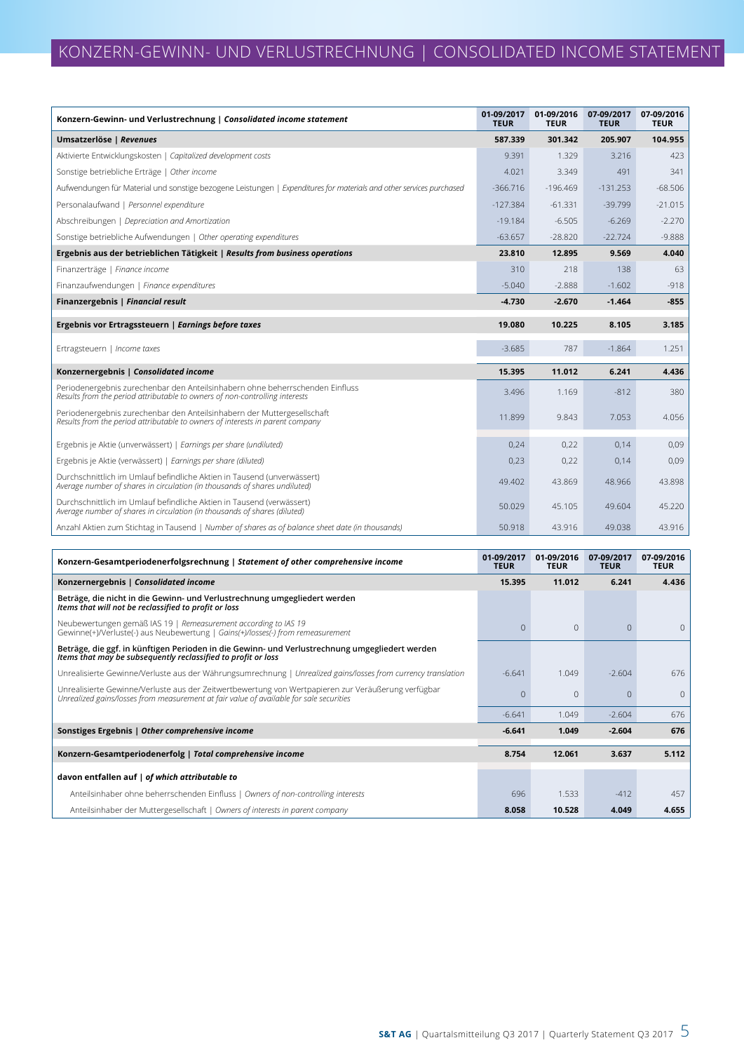| Konzern-Gewinn- und Verlustrechnung   Consolidated income statement                                                                                          | 01-09/2017<br><b>TEUR</b> | 01-09/2016<br><b>TEUR</b> | 07-09/2017<br><b>TEUR</b> | 07-09/2016<br><b>TEUR</b> |
|--------------------------------------------------------------------------------------------------------------------------------------------------------------|---------------------------|---------------------------|---------------------------|---------------------------|
| Umsatzerlöse   Revenues                                                                                                                                      | 587.339                   | 301.342                   | 205.907                   | 104.955                   |
| Aktivierte Entwicklungskosten   Capitalized development costs                                                                                                | 9.391                     | 1.329                     | 3.216                     | 423                       |
| Sonstige betriebliche Erträge   Other income                                                                                                                 | 4.021                     | 3.349                     | 491                       | 341                       |
| Aufwendungen für Material und sonstige bezogene Leistungen   Expenditures for materials and other services purchased                                         | $-366.716$                | $-196.469$                | $-131.253$                | $-68.506$                 |
| Personalaufwand   Personnel expenditure                                                                                                                      | $-127.384$                | $-61.331$                 | $-39.799$                 | $-21.015$                 |
| Abschreibungen   Depreciation and Amortization                                                                                                               | $-19.184$                 | $-6.505$                  | $-6.269$                  | $-2.270$                  |
| Sonstige betriebliche Aufwendungen   Other operating expenditures                                                                                            | $-63.657$                 | $-28.820$                 | $-22.724$                 | $-9.888$                  |
| Ergebnis aus der betrieblichen Tätigkeit   Results from business operations                                                                                  | 23.810                    | 12.895                    | 9.569                     | 4.040                     |
| Finanzerträge   Finance income                                                                                                                               | 310                       | 218                       | 138                       | 63                        |
| Finanzaufwendungen   Finance expenditures                                                                                                                    | $-5.040$                  | $-2.888$                  | $-1.602$                  | $-918$                    |
| Finanzergebnis   Financial result                                                                                                                            | $-4.730$                  | $-2.670$                  | $-1.464$                  | $-855$                    |
| Ergebnis vor Ertragssteuern   Earnings before taxes                                                                                                          | 19.080                    | 10.225                    | 8.105                     | 3.185                     |
| Ertragsteuern   Income taxes                                                                                                                                 | $-3.685$                  | 787                       | $-1.864$                  | 1.251                     |
| Konzernergebnis   Consolidated income                                                                                                                        | 15.395                    | 11.012                    | 6.241                     | 4.436                     |
| Periodenergebnis zurechenbar den Anteilsinhabern ohne beherrschenden Einfluss<br>Results from the period attributable to owners of non-controlling interests | 3.496                     | 1.169                     | $-812$                    | 380                       |
| Periodenergebnis zurechenbar den Anteilsinhabern der Muttergesellschaft<br>Results from the period attributable to owners of interests in parent company     | 11.899                    | 9.843                     | 7.053                     | 4.056                     |
| Ergebnis je Aktie (unverwässert)   Earnings per share (undiluted)                                                                                            | 0,24                      | 0,22                      | 0,14                      | 0,09                      |
| Ergebnis je Aktie (verwässert)   Earnings per share (diluted)                                                                                                | 0,23                      | 0,22                      | 0,14                      | 0,09                      |
| Durchschnittlich im Umlauf befindliche Aktien in Tausend (unverwässert)<br>Average number of shares in circulation (in thousands of shares undiluted)        | 49.402                    | 43.869                    | 48.966                    | 43.898                    |
| Durchschnittlich im Umlauf befindliche Aktien in Tausend (verwässert)<br>Average number of shares in circulation (in thousands of shares (diluted)           | 50.029                    | 45.105                    | 49.604                    | 45.220                    |
| Anzahl Aktien zum Stichtag in Tausend   Number of shares as of balance sheet date (in thousands)                                                             | 50.918                    | 43.916                    | 49.038                    | 43.916                    |

| Konzern-Gesamtperiodenerfolgsrechnung   Statement of other comprehensive income                                                                                                                | 01-09/2017<br><b>TEUR</b> | 01-09/2016<br><b>TEUR</b> | 07-09/2017<br><b>TEUR</b> | 07-09/2016<br><b>TEUR</b> |
|------------------------------------------------------------------------------------------------------------------------------------------------------------------------------------------------|---------------------------|---------------------------|---------------------------|---------------------------|
| Konzernergebnis   Consolidated income                                                                                                                                                          | 15.395                    | 11.012                    | 6.241                     | 4.436                     |
| Beträge, die nicht in die Gewinn- und Verlustrechnung umgegliedert werden<br>Items that will not be reclassified to profit or loss                                                             |                           |                           |                           |                           |
| Neubewertungen gemäß IAS 19   Remeasurement according to IAS 19<br>Gewinne(+)/Verluste(-) aus Neubewertung   Gains(+)/losses(-) from remeasurement                                             | $\Omega$                  | $\Omega$                  | $\Omega$                  | $\Omega$                  |
| Beträge, die ggf. in künftigen Perioden in die Gewinn- und Verlustrechnung umgegliedert werden<br>Items that may be subsequently reclassified to profit or loss                                |                           |                           |                           |                           |
| Unrealisierte Gewinne/Verluste aus der Währungsumrechnung   Unrealized gains/losses from currency translation                                                                                  | $-6.641$                  | 1.049                     | $-2.604$                  | 676                       |
| Unrealisierte Gewinne/Verluste aus der Zeitwertbewertung von Wertpapieren zur Veräußerung verfügbar<br>Unrealized gains/losses from measurement at fair value of available for sale securities | U                         | $\Omega$                  | $\Omega$                  | $\Omega$                  |
|                                                                                                                                                                                                | $-6.641$                  | 1.049                     | $-2.604$                  | 676                       |
| Sonstiges Ergebnis   Other comprehensive income                                                                                                                                                | $-6.641$                  | 1.049                     | $-2.604$                  | 676                       |
| Konzern-Gesamtperiodenerfolg   Total comprehensive income                                                                                                                                      | 8.754                     | 12.061                    | 3.637                     | 5.112                     |
|                                                                                                                                                                                                |                           |                           |                           |                           |
| davon entfallen auf   of which attributable to                                                                                                                                                 |                           |                           |                           |                           |
| Anteilsinhaber ohne beherrschenden Einfluss   Owners of non-controlling interests                                                                                                              | 696                       | 1.533                     | $-412$                    | 457                       |
| Anteilsinhaber der Muttergesellschaft   Owners of interests in parent company                                                                                                                  | 8.058                     | 10.528                    | 4.049                     | 4.655                     |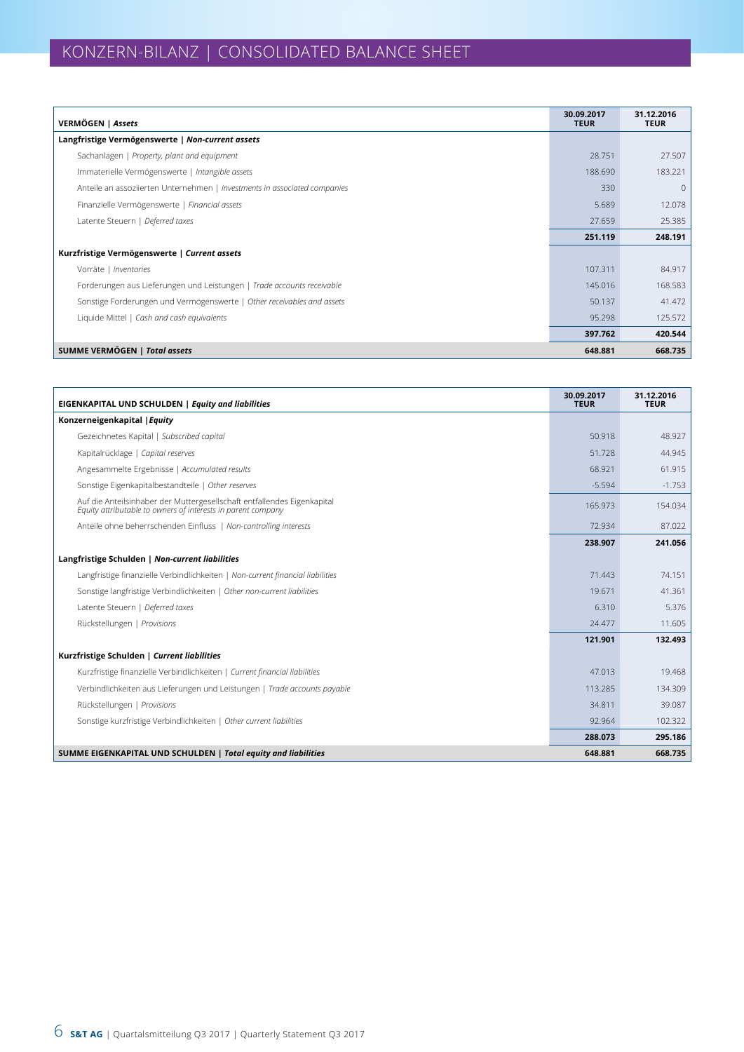| VERMÖGEN   Assets                                                         | 30.09.2017<br><b>TEUR</b> | 31.12.2016<br><b>TEUR</b> |
|---------------------------------------------------------------------------|---------------------------|---------------------------|
| Langfristige Vermögenswerte   Non-current assets                          |                           |                           |
| Sachanlagen   Property, plant and equipment                               | 28.751                    | 27.507                    |
| Immaterielle Vermögenswerte   Intangible assets                           | 188.690                   | 183.221                   |
| Anteile an assoziierten Unternehmen   Investments in associated companies | 330                       | $\overline{0}$            |
| Finanzielle Vermögenswerte   Financial assets                             | 5.689                     | 12.078                    |
| Latente Steuern   Deferred taxes                                          | 27.659                    | 25.385                    |
|                                                                           | 251.119                   | 248.191                   |
| Kurzfristige Vermögenswerte   Current assets                              |                           |                           |
| Vorräte   Inventories                                                     | 107.311                   | 84.917                    |
| Forderungen aus Lieferungen und Leistungen   Trade accounts receivable    | 145.016                   | 168.583                   |
| Sonstige Forderungen und Vermögenswerte   Other receivables and assets    | 50.137                    | 41.472                    |
| Liquide Mittel   Cash and cash equivalents                                | 95.298                    | 125.572                   |
|                                                                           | 397.762                   | 420.544                   |
| SUMME VERMÖGEN   Total assets                                             | 648.881                   | 668.735                   |

| <b>EIGENKAPITAL UND SCHULDEN   Equity and liabilities</b>                                                                               | 30.09.2017<br><b>TEUR</b> | 31.12.2016<br><b>TEUR</b> |
|-----------------------------------------------------------------------------------------------------------------------------------------|---------------------------|---------------------------|
| Konzerneigenkapital   Equity                                                                                                            |                           |                           |
| Gezeichnetes Kapital   Subscribed capital                                                                                               | 50.918                    | 48.927                    |
| Kapitalrücklage   Capital reserves                                                                                                      | 51.728                    | 44.945                    |
| Angesammelte Ergebnisse   Accumulated results                                                                                           | 68.921                    | 61.915                    |
| Sonstige Eigenkapitalbestandteile   Other reserves                                                                                      | $-5.594$                  | $-1.753$                  |
| Auf die Anteilsinhaber der Muttergesellschaft entfallendes Eigenkapital<br>Equity attributable to owners of interests in parent company | 165.973                   | 154.034                   |
| Anteile ohne beherrschenden Einfluss   Non-controlling interests                                                                        | 72.934                    | 87.022                    |
|                                                                                                                                         | 238.907                   | 241.056                   |
| Langfristige Schulden   Non-current liabilities                                                                                         |                           |                           |
| Langfristige finanzielle Verbindlichkeiten   Non-current financial liabilities                                                          | 71.443                    | 74.151                    |
| Sonstige langfristige Verbindlichkeiten   Other non-current liabilities                                                                 | 19.671                    | 41.361                    |
| Latente Steuern   Deferred taxes                                                                                                        | 6.310                     | 5.376                     |
| Rückstellungen   Provisions                                                                                                             | 24.477                    | 11.605                    |
|                                                                                                                                         | 121.901                   | 132.493                   |
| Kurzfristige Schulden   Current liabilities                                                                                             |                           |                           |
| Kurzfristige finanzielle Verbindlichkeiten   Current financial liabilities                                                              | 47.013                    | 19.468                    |
| Verbindlichkeiten aus Lieferungen und Leistungen   Trade accounts payable                                                               | 113.285                   | 134.309                   |
| Rückstellungen   Provisions                                                                                                             | 34.811                    | 39.087                    |
| Sonstige kurzfristige Verbindlichkeiten   Other current liabilities                                                                     | 92.964                    | 102.322                   |
|                                                                                                                                         | 288.073                   | 295.186                   |
| SUMME EIGENKAPITAL UND SCHULDEN   Total equity and liabilities                                                                          | 648.881                   | 668.735                   |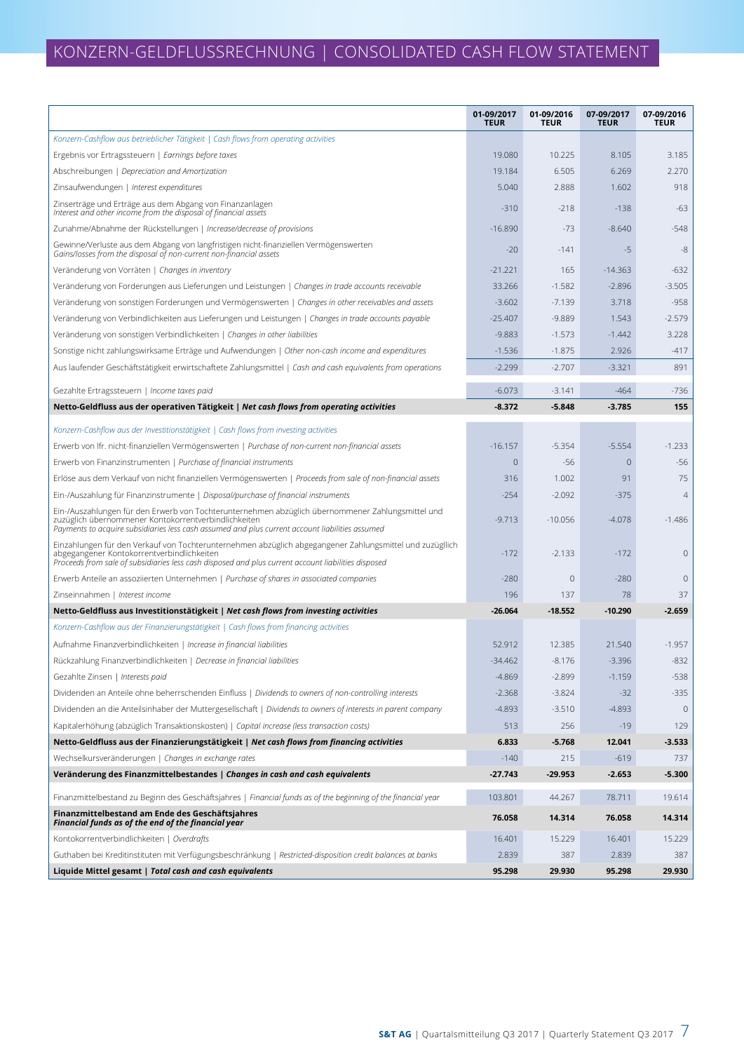|                                                                                                                                                                                                                                                               | 01-09/2017<br><b>TEUR</b> | 01-09/2016<br><b>TEUR</b> | 07-09/2017<br><b>TEUR</b> | 07-09/2016<br><b>TEUR</b> |
|---------------------------------------------------------------------------------------------------------------------------------------------------------------------------------------------------------------------------------------------------------------|---------------------------|---------------------------|---------------------------|---------------------------|
| Konzern-Cashflow aus betrieblicher Tätigkeit   Cash flows from operating activities                                                                                                                                                                           |                           |                           |                           |                           |
| Ergebnis vor Ertragssteuern   Earnings before taxes                                                                                                                                                                                                           | 19.080                    | 10.225                    | 8.105                     | 3.185                     |
| Abschreibungen   Depreciation and Amortization                                                                                                                                                                                                                | 19.184                    | 6.505                     | 6.269                     | 2.270                     |
| Zinsaufwendungen   Interest expenditures                                                                                                                                                                                                                      | 5.040                     | 2.888                     | 1.602                     | 918                       |
| Zinserträge und Erträge aus dem Abgang von Finanzanlagen<br>Interest and other income from the disposal of financial assets                                                                                                                                   | $-310$                    | $-218$                    | $-138$                    | $-63$                     |
| Zunahme/Abnahme der Rückstellungen   Increase/decrease of provisions                                                                                                                                                                                          | $-16.890$                 | $-73$                     | $-8.640$                  | $-548$                    |
| Gewinne/Verluste aus dem Abgang von langfristigen nicht-finanziellen Vermögenswerten<br>Gains/losses from the disposal of non-current non-financial assets                                                                                                    | $-20$                     | $-141$                    | $-5$                      | -8                        |
| Veränderung von Vorräten   Changes in inventory                                                                                                                                                                                                               | $-21.221$                 | 165                       | $-14.363$                 | $-632$                    |
| Veränderung von Forderungen aus Lieferungen und Leistungen   Changes in trade accounts receivable                                                                                                                                                             | 33.266                    | $-1.582$                  | $-2.896$                  | $-3.505$                  |
| Veränderung von sonstigen Forderungen und Vermögenswerten   Changes in other receivables and assets                                                                                                                                                           | $-3.602$                  | $-7.139$                  | 3.718                     | $-958$                    |
| Veränderung von Verbindlichkeiten aus Lieferungen und Leistungen   Changes in trade accounts payable                                                                                                                                                          | $-25.407$                 | $-9.889$                  | 1.543                     | $-2.579$                  |
| Veränderung von sonstigen Verbindlichkeiten   Changes in other liabilities                                                                                                                                                                                    | $-9.883$                  | $-1.573$                  | $-1.442$                  | 3.228                     |
| Sonstige nicht zahlungswirksame Erträge und Aufwendungen   Other non-cash income and expenditures                                                                                                                                                             | $-1.536$                  | $-1.875$                  | 2.926                     | $-417$                    |
| Aus laufender Geschäftstätigkeit erwirtschaftete Zahlungsmittel   Cash and cash equivalents from operations                                                                                                                                                   | $-2.299$                  | $-2.707$                  | $-3.321$                  | 891                       |
| Gezahlte Ertragssteuern   Income taxes paid                                                                                                                                                                                                                   | $-6.073$                  | $-3.141$                  | $-464$                    | $-736$                    |
| Netto-Geldfluss aus der operativen Tätigkeit   Net cash flows from operating activities                                                                                                                                                                       | $-8.372$                  | $-5.848$                  | $-3.785$                  | 155                       |
| Konzern-Cashflow aus der Investitionstätigkeit   Cash flows from investing activities                                                                                                                                                                         |                           |                           |                           |                           |
| Erwerb von Ifr. nicht-finanziellen Vermögenswerten   Purchase of non-current non-financial assets                                                                                                                                                             | $-16.157$                 | $-5.354$                  | $-5.554$                  | $-1.233$                  |
| Erwerb von Finanzinstrumenten   Purchase of financial instruments                                                                                                                                                                                             | $\mathbf{0}$              | -56                       | $\theta$                  | $-56$                     |
| Erlöse aus dem Verkauf von nicht finanziellen Vermögenswerten   Proceeds from sale of non-financial assets                                                                                                                                                    | 316                       | 1.002                     | 91                        | 75                        |
| Ein-/Auszahlung für Finanzinstrumente   Disposal/purchase of financial instruments                                                                                                                                                                            | $-254$                    | $-2.092$                  | $-375$                    | $\overline{4}$            |
| Ein-/Auszahlungen für den Erwerb von Tochterunternehmen abzüglich übernommener Zahlungsmittel und                                                                                                                                                             |                           |                           |                           |                           |
| zuzüglich übernommener Kontokorrentverbindlichkeiten<br>Payments to acquire subsidiaries less cash assumed and plus current account liabilities assumed                                                                                                       | $-9.713$                  | $-10.056$                 | $-4.078$                  | $-1.486$                  |
| Einzahlungen für den Verkauf von Tochterunternehmen abzüglich abgegangener Zahlungsmittel und zuzügllich<br>abgegangener Kontokorrentverbindlichkeiten<br>Proceeds from sale of subsidiaries less cash disposed and plus current account liabilities disposed | $-172$                    | $-2.133$                  | $-172$                    | $\mathbf{0}$              |
| Erwerb Anteile an assoziierten Unternehmen   Purchase of shares in associated companies                                                                                                                                                                       | $-280$                    | $\mathbf 0$               | $-280$                    | $\mathbf 0$               |
| Zinseinnahmen   Interest income                                                                                                                                                                                                                               | 196                       | 137                       | 78                        | 37                        |
| Netto-Geldfluss aus Investitionstätigkeit   Net cash flows from investing activities                                                                                                                                                                          | -26.064                   | $-18.552$                 | $-10.290$                 | $-2.659$                  |
| Konzern-Cashflow aus der Finanzierungstätigkeit   Cash flows from financing activities                                                                                                                                                                        |                           |                           |                           |                           |
| Aufnahme Finanzverbindlichkeiten   Increase in financial liabilities                                                                                                                                                                                          | 52.912                    | 12.385                    | 21.540                    | $-1.957$                  |
| Rückzahlung Finanzverbindlichkeiten   Decrease in financial liabilities                                                                                                                                                                                       | $-34.462$                 | $-8.176$                  | $-3.396$                  | $-832$                    |
| Gezahlte Zinsen   Interests paid                                                                                                                                                                                                                              | $-4.869$                  | $-2.899$                  | $-1.159$                  | $-538$                    |
| Dividenden an Anteile ohne beherrschenden Einfluss   Dividends to owners of non-controlling interests                                                                                                                                                         | $-2.368$                  | $-3.824$                  | $-32$                     | $-335$                    |
| Dividenden an die Anteilsinhaber der Muttergesellschaft   Dividends to owners of interests in parent company                                                                                                                                                  | $-4.893$                  | $-3.510$                  | $-4.893$                  | $\theta$                  |
| Kapitalerhöhung (abzüglich Transaktionskosten)   Capital increase (less transaction costs)                                                                                                                                                                    | 513                       | 256                       | $-19$                     | 129                       |
| Netto-Geldfluss aus der Finanzierungstätigkeit   Net cash flows from financing activities                                                                                                                                                                     | 6.833                     | -5.768                    | 12.041                    | $-3.533$                  |
| Wechselkursveränderungen   Changes in exchange rates                                                                                                                                                                                                          | $-140$                    | 215                       | $-619$                    | 737                       |
| Veränderung des Finanzmittelbestandes   Changes in cash and cash equivalents                                                                                                                                                                                  | $-27.743$                 | $-29.953$                 | $-2.653$                  | $-5.300$                  |
| Finanzmittelbestand zu Beginn des Geschäftsjahres   Financial funds as of the beginning of the financial year                                                                                                                                                 | 103.801                   | 44.267                    | 78.711                    | 19.614                    |
| Finanzmittelbestand am Ende des Geschäftsjahres<br>Financial funds as of the end of the financial year                                                                                                                                                        | 76.058                    | 14.314                    | 76.058                    | 14.314                    |
| Kontokorrentverbindlichkeiten   Overdrafts                                                                                                                                                                                                                    | 16.401                    | 15.229                    | 16.401                    | 15.229                    |
| Guthaben bei Kreditinstituten mit Verfügungsbeschränkung   Restricted-disposition credit balances at banks                                                                                                                                                    | 2.839                     | 387                       | 2.839                     | 387                       |
| Liquide Mittel gesamt   Total cash and cash equivalents                                                                                                                                                                                                       | 95.298                    | 29.930                    | 95.298                    | 29.930                    |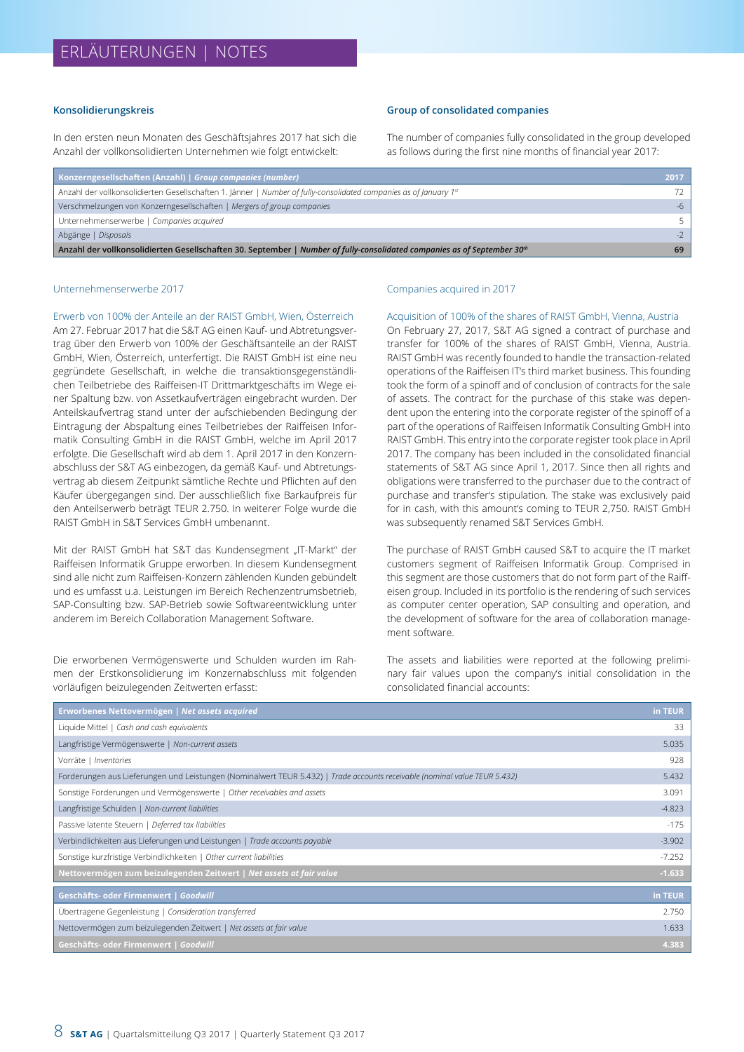#### **Konsolidierungskreis**

In den ersten neun Monaten des Geschäftsjahres 2017 hat sich die Anzahl der vollkonsolidierten Unternehmen wie folgt entwickelt:

#### **Group of consolidated companies**

The number of companies fully consolidated in the group developed as follows during the first nine months of financial year 2017:

| Konzerngesellschaften (Anzahl)   Group companies (number)                                                                            | 2017  |
|--------------------------------------------------------------------------------------------------------------------------------------|-------|
| Anzahl der vollkonsolidierten Gesellschaften 1. Jänner   Number of fully-consolidated companies as of January 1str                   | 72.   |
| Verschmelzungen von Konzerngesellschaften   Mergers of group companies                                                               | $-6$  |
| Unternehmenserwerbe   Companies acquired                                                                                             | $5 -$ |
| Abgänge   Disposals                                                                                                                  |       |
| Anzahl der vollkonsolidierten Gesellschaften 30. September   Number of fully-consolidated companies as of September 30 <sup>th</sup> | 69    |

#### Unternehmenserwerbe 2017

Erwerb von 100% der Anteile an der RAIST GmbH, Wien, Österreich Am 27. Februar 2017 hat die S&T AG einen Kauf- und Abtretungsvertrag über den Erwerb von 100% der Geschäftsanteile an der RAIST GmbH, Wien, Österreich, unterfertigt. Die RAIST GmbH ist eine neu gegründete Gesellschaft, in welche die transaktionsgegenständlichen Teilbetriebe des Raiffeisen-IT Drittmarktgeschäfts im Wege einer Spaltung bzw. von Assetkaufverträgen eingebracht wurden. Der Anteilskaufvertrag stand unter der aufschiebenden Bedingung der Eintragung der Abspaltung eines Teilbetriebes der Raiffeisen Informatik Consulting GmbH in die RAIST GmbH, welche im April 2017 erfolgte. Die Gesellschaft wird ab dem 1. April 2017 in den Konzernabschluss der S&T AG einbezogen, da gemäß Kauf- und Abtretungsvertrag ab diesem Zeitpunkt sämtliche Rechte und Pflichten auf den Käufer übergegangen sind. Der ausschließlich fixe Barkaufpreis für den Anteilserwerb beträgt TEUR 2.750. In weiterer Folge wurde die RAIST GmbH in S&T Services GmbH umbenannt.

Mit der RAIST GmbH hat S&T das Kundensegment "IT-Markt" der Raiffeisen Informatik Gruppe erworben. In diesem Kundensegment sind alle nicht zum Raiffeisen-Konzern zählenden Kunden gebündelt und es umfasst u.a. Leistungen im Bereich Rechenzentrumsbetrieb, SAP-Consulting bzw. SAP-Betrieb sowie Softwareentwicklung unter anderem im Bereich Collaboration Management Software.

Die erworbenen Vermögenswerte und Schulden wurden im Rahmen der Erstkonsolidierung im Konzernabschluss mit folgenden vorläufigen beizulegenden Zeitwerten erfasst:

#### Companies acquired in 2017

#### Acquisition of 100% of the shares of RAIST GmbH, Vienna, Austria

On February 27, 2017, S&T AG signed a contract of purchase and transfer for 100% of the shares of RAIST GmbH, Vienna, Austria. RAIST GmbH was recently founded to handle the transaction-related operations of the Raiffeisen IT's third market business. This founding took the form of a spinoff and of conclusion of contracts for the sale of assets. The contract for the purchase of this stake was dependent upon the entering into the corporate register of the spinoff of a part of the operations of Raiffeisen Informatik Consulting GmbH into RAIST GmbH. This entry into the corporate register took place in April 2017. The company has been included in the consolidated financial statements of S&T AG since April 1, 2017. Since then all rights and obligations were transferred to the purchaser due to the contract of purchase and transfer's stipulation. The stake was exclusively paid for in cash, with this amount's coming to TEUR 2,750. RAIST GmbH was subsequently renamed S&T Services GmbH.

The purchase of RAIST GmbH caused S&T to acquire the IT market customers segment of Raiffeisen Informatik Group. Comprised in this segment are those customers that do not form part of the Raiffeisen group. Included in its portfolio is the rendering of such services as computer center operation, SAP consulting and operation, and the development of software for the area of collaboration management software.

The assets and liabilities were reported at the following preliminary fair values upon the company's initial consolidation in the consolidated financial accounts:

| Erworbenes Nettovermögen   Net assets acquired                                                                             | in TEUR  |
|----------------------------------------------------------------------------------------------------------------------------|----------|
| Liquide Mittel   Cash and cash equivalents                                                                                 | 33       |
| Langfristige Vermögenswerte   Non-current assets                                                                           | 5.035    |
| Vorräte   Inventories                                                                                                      | 928      |
| Forderungen aus Lieferungen und Leistungen (Nominalwert TEUR 5.432)   Trade accounts receivable (nominal value TEUR 5.432) | 5.432    |
| Sonstige Forderungen und Vermögenswerte   Other receivables and assets                                                     | 3.091    |
| Langfristige Schulden   Non-current liabilities                                                                            | $-4.823$ |
| Passive latente Steuern   Deferred tax liabilities                                                                         | $-175$   |
| Verbindlichkeiten aus Lieferungen und Leistungen   Trade accounts payable                                                  | $-3.902$ |
| Sonstige kurzfristige Verbindlichkeiten   Other current liabilities                                                        | $-7.252$ |
| Nettovermögen zum beizulegenden Zeitwert   Net assets at fair value                                                        | $-1.633$ |
| Geschäfts- oder Firmenwert   Goodwill                                                                                      | in TEUR  |
| Übertragene Gegenleistung   Consideration transferred                                                                      | 2.750    |
| Nettovermögen zum beizulegenden Zeitwert   Net assets at fair value                                                        | 1.633    |
| Geschäfts- oder Firmenwert   Goodwill                                                                                      | 4.383    |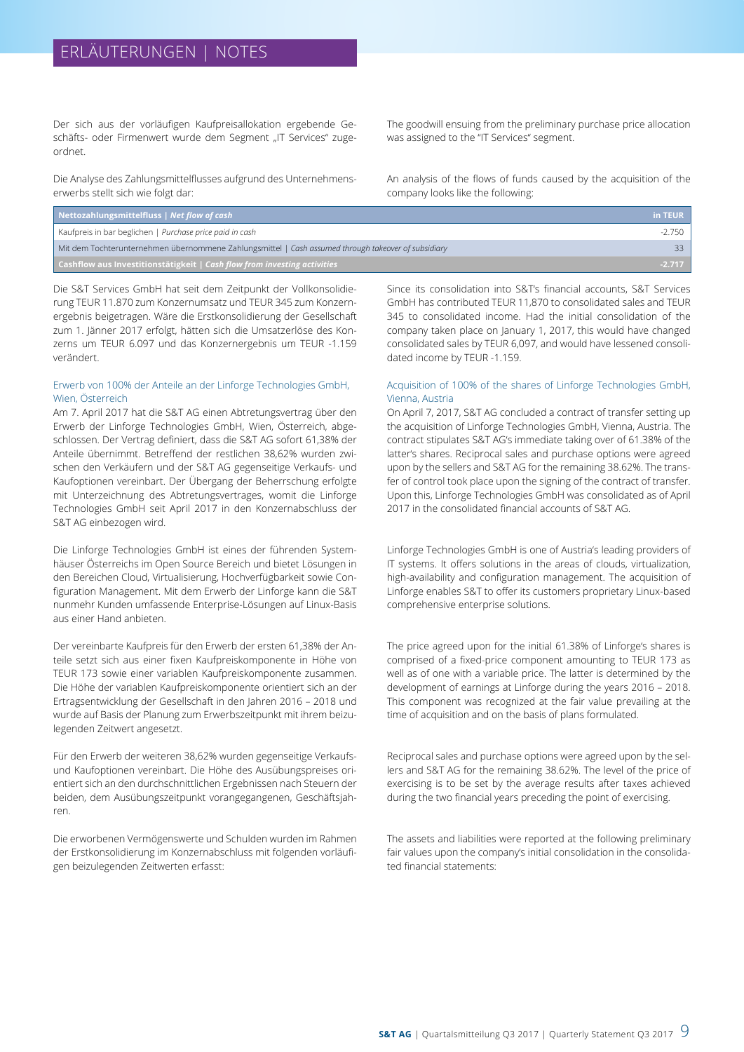Der sich aus der vorläufigen Kaufpreisallokation ergebende Geschäfts- oder Firmenwert wurde dem Segment "IT Services" zugeordnet.

Die Analyse des Zahlungsmittelflusses aufgrund des Unternehmenserwerbs stellt sich wie folgt dar:

The goodwill ensuing from the preliminary purchase price allocation was assigned to the "IT Services" segment.

An analysis of the flows of funds caused by the acquisition of the company looks like the following:

| Nettozahlungsmittelfluss   Net flow of cash                                                         | in TEUR  |
|-----------------------------------------------------------------------------------------------------|----------|
| Kaufpreis in bar beglichen   Purchase price paid in cash                                            | -2.750   |
| Mit dem Tochterunternehmen übernommene Zahlungsmittel   Cash assumed through takeover of subsidiary | $33-$    |
| <b>Cashflow aus Investitionstätigkeit</b> $ $ Cash flow from investing activities                   | $-2.717$ |

Die S&T Services GmbH hat seit dem Zeitpunkt der Vollkonsolidierung TEUR 11.870 zum Konzernumsatz und TEUR 345 zum Konzernergebnis beigetragen. Wäre die Erstkonsolidierung der Gesellschaft zum 1. Jänner 2017 erfolgt, hätten sich die Umsatzerlöse des Konzerns um TEUR 6.097 und das Konzernergebnis um TEUR -1.159 verändert.

#### Erwerb von 100% der Anteile an der Linforge Technologies GmbH, Wien, Österreich

Am 7. April 2017 hat die S&T AG einen Abtretungsvertrag über den Erwerb der Linforge Technologies GmbH, Wien, Österreich, abgeschlossen. Der Vertrag definiert, dass die S&T AG sofort 61,38% der Anteile übernimmt. Betreffend der restlichen 38,62% wurden zwischen den Verkäufern und der S&T AG gegenseitige Verkaufs- und Kaufoptionen vereinbart. Der Übergang der Beherrschung erfolgte mit Unterzeichnung des Abtretungsvertrages, womit die Linforge Technologies GmbH seit April 2017 in den Konzernabschluss der S&T AG einbezogen wird.

Die Linforge Technologies GmbH ist eines der führenden Systemhäuser Österreichs im Open Source Bereich und bietet Lösungen in den Bereichen Cloud, Virtualisierung, Hochverfügbarkeit sowie Configuration Management. Mit dem Erwerb der Linforge kann die S&T nunmehr Kunden umfassende Enterprise-Lösungen auf Linux-Basis aus einer Hand anbieten.

Der vereinbarte Kaufpreis für den Erwerb der ersten 61,38% der Anteile setzt sich aus einer fixen Kaufpreiskomponente in Höhe von TEUR 173 sowie einer variablen Kaufpreiskomponente zusammen. Die Höhe der variablen Kaufpreiskomponente orientiert sich an der Ertragsentwicklung der Gesellschaft in den Jahren 2016 – 2018 und wurde auf Basis der Planung zum Erwerbszeitpunkt mit ihrem beizulegenden Zeitwert angesetzt.

Für den Erwerb der weiteren 38,62% wurden gegenseitige Verkaufsund Kaufoptionen vereinbart. Die Höhe des Ausübungspreises orientiert sich an den durchschnittlichen Ergebnissen nach Steuern der beiden, dem Ausübungszeitpunkt vorangegangenen, Geschäftsjahren.

Die erworbenen Vermögenswerte und Schulden wurden im Rahmen der Erstkonsolidierung im Konzernabschluss mit folgenden vorläufigen beizulegenden Zeitwerten erfasst:

Since its consolidation into S&T's financial accounts, S&T Services GmbH has contributed TEUR 11,870 to consolidated sales and TEUR 345 to consolidated income. Had the initial consolidation of the company taken place on January 1, 2017, this would have changed consolidated sales by TEUR 6,097, and would have lessened consolidated income by TEUR -1.159.

#### Acquisition of 100% of the shares of Linforge Technologies GmbH, Vienna, Austria

On April 7, 2017, S&T AG concluded a contract of transfer setting up the acquisition of Linforge Technologies GmbH, Vienna, Austria. The contract stipulates S&T AG's immediate taking over of 61.38% of the latter's shares. Reciprocal sales and purchase options were agreed upon by the sellers and S&T AG for the remaining 38.62%. The transfer of control took place upon the signing of the contract of transfer. Upon this, Linforge Technologies GmbH was consolidated as of April 2017 in the consolidated financial accounts of S&T AG.

Linforge Technologies GmbH is one of Austria's leading providers of IT systems. It offers solutions in the areas of clouds, virtualization, high-availability and configuration management. The acquisition of Linforge enables S&T to offer its customers proprietary Linux-based comprehensive enterprise solutions.

The price agreed upon for the initial 61.38% of Linforge's shares is comprised of a fixed-price component amounting to TEUR 173 as well as of one with a variable price. The latter is determined by the development of earnings at Linforge during the years 2016 – 2018. This component was recognized at the fair value prevailing at the time of acquisition and on the basis of plans formulated.

Reciprocal sales and purchase options were agreed upon by the sellers and S&T AG for the remaining 38.62%. The level of the price of exercising is to be set by the average results after taxes achieved during the two financial years preceding the point of exercising.

The assets and liabilities were reported at the following preliminary fair values upon the company's initial consolidation in the consolidated financial statements: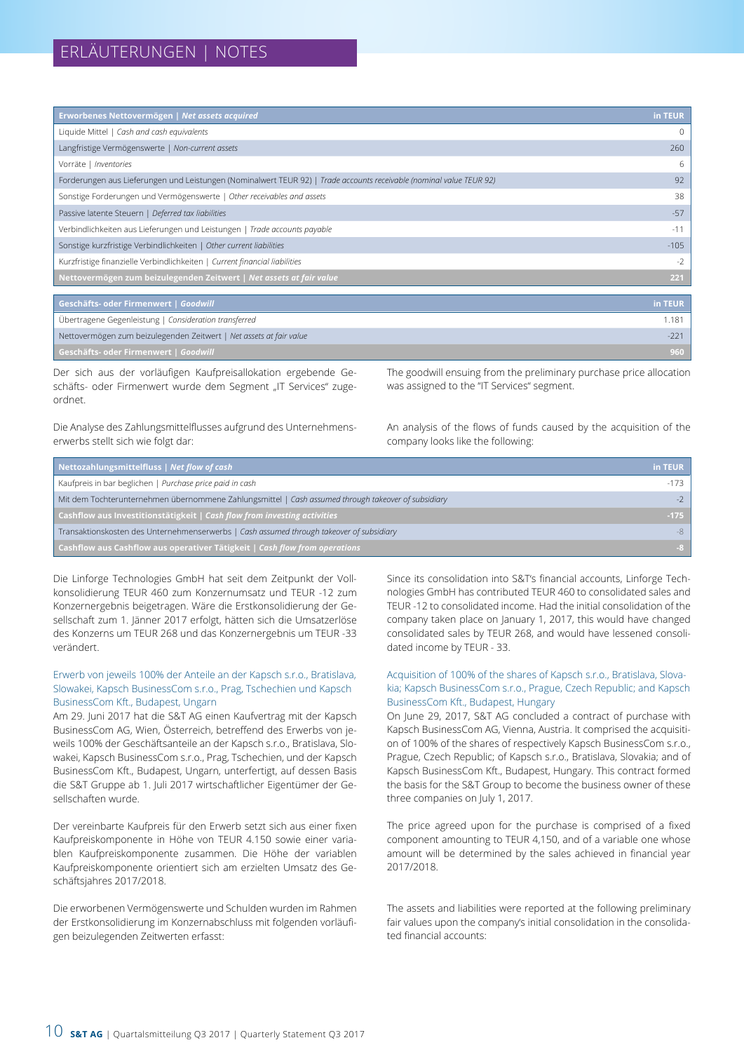| Erworbenes Nettovermögen   Net assets acquired                                                                       | in TEUR |
|----------------------------------------------------------------------------------------------------------------------|---------|
| Liquide Mittel   Cash and cash equivalents                                                                           | 0       |
| Langfristige Vermögenswerte   Non-current assets                                                                     | 260     |
| Vorräte   Inventories                                                                                                | 6       |
| Forderungen aus Lieferungen und Leistungen (Nominalwert TEUR 92)   Trade accounts receivable (nominal value TEUR 92) | 92      |
| Sonstige Forderungen und Vermögenswerte   Other receivables and assets                                               | 38      |
| Passive latente Steuern   Deferred tax liabilities                                                                   | $-57$   |
| Verbindlichkeiten aus Lieferungen und Leistungen   Trade accounts payable                                            | $-11$   |
| Sonstige kurzfristige Verbindlichkeiten   Other current liabilities                                                  | $-105$  |
| Kurzfristige finanzielle Verbindlichkeiten   Current financial liabilities                                           | $-2$    |
| Nettovermögen zum beizulegenden Zeitwert   Net assets at fair value                                                  | 221     |
|                                                                                                                      |         |
| Geschäfts- oder Firmenwert   Goodwill                                                                                | in TEUR |
| Übertragene Gegenleistung L Consideration transferred                                                                | 1 1 8 1 |

| Ubertragene Gegenleistung   Consideration transferred               | 1181 |
|---------------------------------------------------------------------|------|
| Nettovermögen zum beizulegenden Zeitwert   Net assets at fair value |      |
| Geschäfts- oder Firmenwert   Goodwill                               | 960  |

Der sich aus der vorläufigen Kaufpreisallokation ergebende Geschäfts- oder Firmenwert wurde dem Segment "IT Services" zugeordnet.

The goodwill ensuing from the preliminary purchase price allocation was assigned to the "IT Services" segment.

Die Analyse des Zahlungsmittelflusses aufgrund des Unternehmenserwerbs stellt sich wie folgt dar:

An analysis of the flows of funds caused by the acquisition of the company looks like the following:

| Nettozahlungsmittelfluss   Net flow of cash                                                         | in TEUR |
|-----------------------------------------------------------------------------------------------------|---------|
| Kaufpreis in bar beglichen   Purchase price paid in cash                                            | $-173$  |
| Mit dem Tochterunternehmen übernommene Zahlungsmittel   Cash assumed through takeover of subsidiary |         |
| <b>Cashflow aus Investitionstätigkeit</b> $ $ Cash flow from investing activities                   | $-175$  |
| Transaktionskosten des Unternehmenserwerbs   Cash assumed through takeover of subsidiary            | -8      |
| <b>Cashflow aus Cashflow aus operativer Tätigkeit</b> $\vert$ Cash flow from operations             | $-8$    |

Die Linforge Technologies GmbH hat seit dem Zeitpunkt der Vollkonsolidierung TEUR 460 zum Konzernumsatz und TEUR -12 zum Konzernergebnis beigetragen. Wäre die Erstkonsolidierung der Gesellschaft zum 1. Jänner 2017 erfolgt, hätten sich die Umsatzerlöse des Konzerns um TEUR 268 und das Konzernergebnis um TEUR -33 verändert.

#### Erwerb von jeweils 100% der Anteile an der Kapsch s.r.o., Bratislava, Slowakei, Kapsch BusinessCom s.r.o., Prag, Tschechien und Kapsch BusinessCom Kft., Budapest, Ungarn

Am 29. Juni 2017 hat die S&T AG einen Kaufvertrag mit der Kapsch BusinessCom AG, Wien, Österreich, betreffend des Erwerbs von jeweils 100% der Geschäftsanteile an der Kapsch s.r.o., Bratislava, Slowakei, Kapsch BusinessCom s.r.o., Prag, Tschechien, und der Kapsch BusinessCom Kft., Budapest, Ungarn, unterfertigt, auf dessen Basis die S&T Gruppe ab 1. Juli 2017 wirtschaftlicher Eigentümer der Gesellschaften wurde.

Der vereinbarte Kaufpreis für den Erwerb setzt sich aus einer fixen Kaufpreiskomponente in Höhe von TEUR 4.150 sowie einer variablen Kaufpreiskomponente zusammen. Die Höhe der variablen Kaufpreiskomponente orientiert sich am erzielten Umsatz des Geschäftsjahres 2017/2018.

Die erworbenen Vermögenswerte und Schulden wurden im Rahmen der Erstkonsolidierung im Konzernabschluss mit folgenden vorläufigen beizulegenden Zeitwerten erfasst:

Since its consolidation into S&T's financial accounts, Linforge Technologies GmbH has contributed TEUR 460 to consolidated sales and TEUR -12 to consolidated income. Had the initial consolidation of the company taken place on January 1, 2017, this would have changed consolidated sales by TEUR 268, and would have lessened consolidated income by TEUR - 33.

#### Acquisition of 100% of the shares of Kapsch s.r.o., Bratislava, Slovakia; Kapsch BusinessCom s.r.o., Prague, Czech Republic; and Kapsch BusinessCom Kft., Budapest, Hungary

On June 29, 2017, S&T AG concluded a contract of purchase with Kapsch BusinessCom AG, Vienna, Austria. It comprised the acquisition of 100% of the shares of respectively Kapsch BusinessCom s.r.o., Prague, Czech Republic; of Kapsch s.r.o., Bratislava, Slovakia; and of Kapsch BusinessCom Kft., Budapest, Hungary. This contract formed the basis for the S&T Group to become the business owner of these three companies on July 1, 2017.

The price agreed upon for the purchase is comprised of a fixed component amounting to TEUR 4,150, and of a variable one whose amount will be determined by the sales achieved in financial year 2017/2018.

The assets and liabilities were reported at the following preliminary fair values upon the company's initial consolidation in the consolidated financial accounts: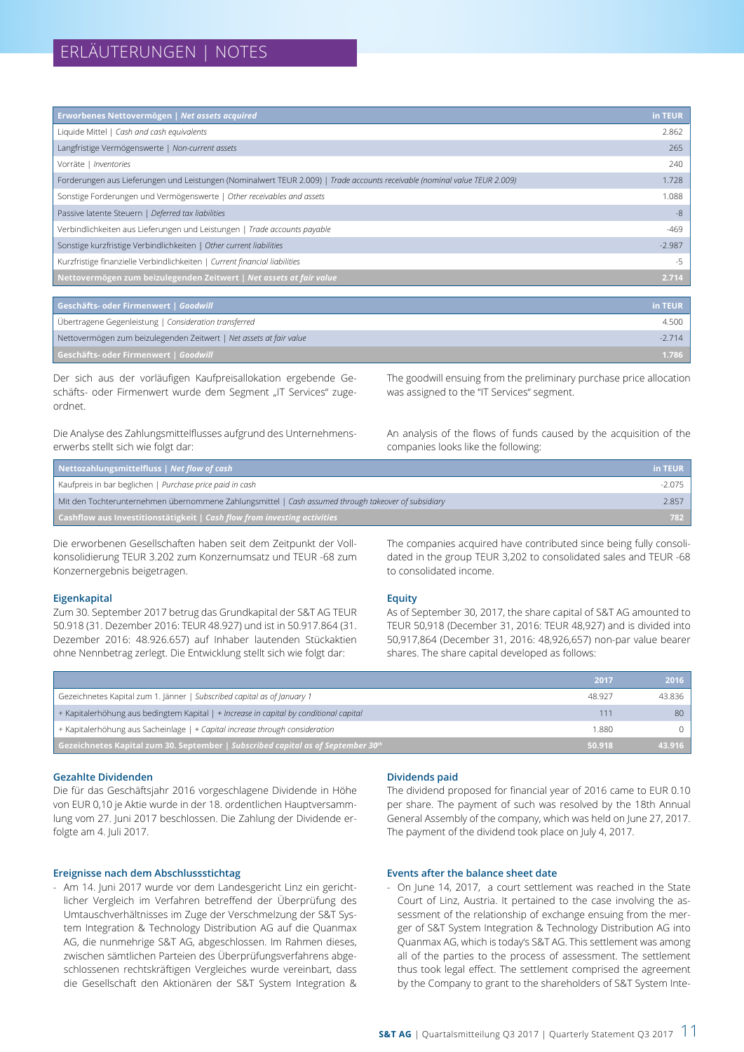| Erworbenes Nettovermögen   Net assets acquired                                                                             | in TEUR  |
|----------------------------------------------------------------------------------------------------------------------------|----------|
| Liquide Mittel   Cash and cash equivalents                                                                                 | 2.862    |
| Langfristige Vermögenswerte   Non-current assets                                                                           | 265      |
| Vorräte   Inventories                                                                                                      | 240      |
| Forderungen aus Lieferungen und Leistungen (Nominalwert TEUR 2.009)   Trade accounts receivable (nominal value TEUR 2.009) | 1.728    |
| Sonstige Forderungen und Vermögenswerte   Other receivables and assets                                                     | 1.088    |
| Passive latente Steuern   Deferred tax liabilities                                                                         | -8       |
| Verbindlichkeiten aus Lieferungen und Leistungen   Trade accounts payable                                                  | $-469$   |
| Sonstige kurzfristige Verbindlichkeiten   Other current liabilities                                                        | $-2.987$ |
| Kurzfristige finanzielle Verbindlichkeiten   Current financial liabilities                                                 | -5       |
| Nettovermögen zum beizulegenden Zeitwert   Net assets at fair value                                                        | 2.714    |

| Geschäfts- oder Firmenwert   Goodwill                               | in TEUR |
|---------------------------------------------------------------------|---------|
| Übertragene Gegenleistung   Consideration transferred               | 4.500   |
| Nettovermögen zum beizulegenden Zeitwert   Net assets at fair value | $-2714$ |
| Geschäfts- oder Firmenwert   Goodwill                               | 1.786   |

Der sich aus der vorläufigen Kaufpreisallokation ergebende Geschäfts- oder Firmenwert wurde dem Segment "IT Services" zugeordnet.

Die Analyse des Zahlungsmittelflusses aufgrund des Unternehmenserwerbs stellt sich wie folgt dar:

The goodwill ensuing from the preliminary purchase price allocation was assigned to the "IT Services" segment.

An analysis of the flows of funds caused by the acquisition of the companies looks like the following:

| Nettozahlungsmittelfluss   Net flow of cash                                                         | in TEUR  |
|-----------------------------------------------------------------------------------------------------|----------|
| Kaufpreis in bar beglichen   Purchase price paid in cash                                            | $-2.075$ |
| Mit den Tochterunternehmen übernommene Zahlungsmittel   Cash assumed through takeover of subsidiary | 2.857    |
| <b>Cashflow aus Investitionstätigkeit</b> $ $ Cash flow from investing activities                   | 782      |

Die erworbenen Gesellschaften haben seit dem Zeitpunkt der Vollkonsolidierung TEUR 3.202 zum Konzernumsatz und TEUR -68 zum Konzernergebnis beigetragen.

#### **Eigenkapital**

Zum 30. September 2017 betrug das Grundkapital der S&T AG TEUR 50.918 (31. Dezember 2016: TEUR 48.927) und ist in 50.917.864 (31. Dezember 2016: 48.926.657) auf Inhaber lautenden Stückaktien ohne Nennbetrag zerlegt. Die Entwicklung stellt sich wie folgt dar:

The companies acquired have contributed since being fully consolidated in the group TEUR 3,202 to consolidated sales and TEUR -68 to consolidated income.

#### **Equity**

As of September 30, 2017, the share capital of S&T AG amounted to TEUR 50,918 (December 31, 2016: TEUR 48,927) and is divided into 50,917,864 (December 31, 2016: 48,926,657) non-par value bearer shares. The share capital developed as follows:

|                                                                                        | 2017   | 2016   |
|----------------------------------------------------------------------------------------|--------|--------|
| Gezeichnetes Kapital zum 1. Jänner   Subscribed capital as of January 1                | 48.927 | 43.836 |
| + Kapitalerhöhung aus bedingtem Kapital   + Increase in capital by conditional capital |        | 80     |
| + Kapitalerhöhung aus Sacheinlage   + Capital increase through consideration           | 1.880  |        |
| Gezeichnetes Kapital zum 30. September   Subscribed capital as of September 30th       | 50.918 | 43.916 |

#### **Gezahlte Dividenden**

Die für das Geschäftsjahr 2016 vorgeschlagene Dividende in Höhe von EUR 0,10 je Aktie wurde in der 18. ordentlichen Hauptversammlung vom 27. Juni 2017 beschlossen. Die Zahlung der Dividende erfolgte am 4. Juli 2017.

#### **Ereignisse nach dem Abschlussstichtag**

- Am 14. Juni 2017 wurde vor dem Landesgericht Linz ein gerichtlicher Vergleich im Verfahren betreffend der Überprüfung des Umtauschverhältnisses im Zuge der Verschmelzung der S&T System Integration & Technology Distribution AG auf die Quanmax AG, die nunmehrige S&T AG, abgeschlossen. Im Rahmen dieses, zwischen sämtlichen Parteien des Überprüfungsverfahrens abgeschlossenen rechtskräftigen Vergleiches wurde vereinbart, dass die Gesellschaft den Aktionären der S&T System Integration &

#### **Dividends paid**

The dividend proposed for financial year of 2016 came to EUR 0.10 per share. The payment of such was resolved by the 18th Annual General Assembly of the company, which was held on June 27, 2017. The payment of the dividend took place on July 4, 2017.

#### **Events after the balance sheet date**

- On June 14, 2017, a court settlement was reached in the State Court of Linz, Austria. It pertained to the case involving the assessment of the relationship of exchange ensuing from the merger of S&T System Integration & Technology Distribution AG into Quanmax AG, which is today's S&T AG. This settlement was among all of the parties to the process of assessment. The settlement thus took legal effect. The settlement comprised the agreement by the Company to grant to the shareholders of S&T System Inte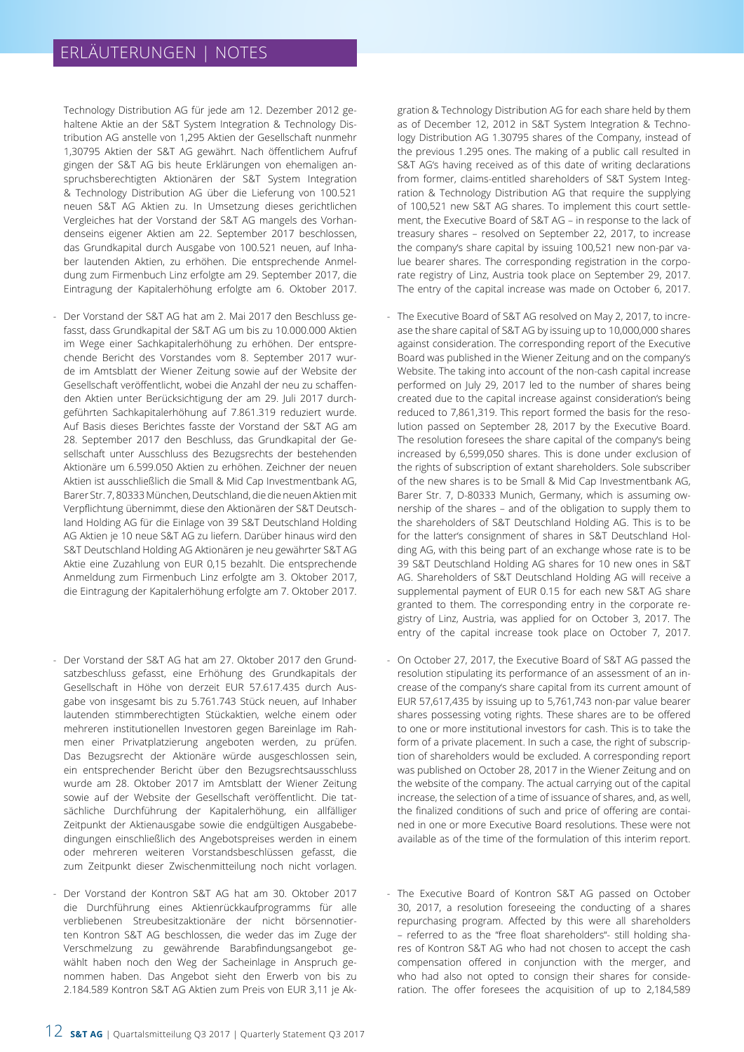Technology Distribution AG für jede am 12. Dezember 2012 gehaltene Aktie an der S&T System Integration & Technology Distribution AG anstelle von 1,295 Aktien der Gesellschaft nunmehr 1,30795 Aktien der S&T AG gewährt. Nach öffentlichem Aufruf gingen der S&T AG bis heute Erklärungen von ehemaligen anspruchsberechtigten Aktionären der S&T System Integration & Technology Distribution AG über die Lieferung von 100.521 neuen S&T AG Aktien zu. In Umsetzung dieses gerichtlichen Vergleiches hat der Vorstand der S&T AG mangels des Vorhandenseins eigener Aktien am 22. September 2017 beschlossen, das Grundkapital durch Ausgabe von 100.521 neuen, auf Inhaber lautenden Aktien, zu erhöhen. Die entsprechende Anmeldung zum Firmenbuch Linz erfolgte am 29. September 2017, die Eintragung der Kapitalerhöhung erfolgte am 6. Oktober 2017.

- Der Vorstand der S&T AG hat am 2. Mai 2017 den Beschluss gefasst, dass Grundkapital der S&T AG um bis zu 10.000.000 Aktien im Wege einer Sachkapitalerhöhung zu erhöhen. Der entsprechende Bericht des Vorstandes vom 8. September 2017 wurde im Amtsblatt der Wiener Zeitung sowie auf der Website der Gesellschaft veröffentlicht, wobei die Anzahl der neu zu schaffenden Aktien unter Berücksichtigung der am 29. Juli 2017 durchgeführten Sachkapitalerhöhung auf 7.861.319 reduziert wurde. Auf Basis dieses Berichtes fasste der Vorstand der S&T AG am 28. September 2017 den Beschluss, das Grundkapital der Gesellschaft unter Ausschluss des Bezugsrechts der bestehenden Aktionäre um 6.599.050 Aktien zu erhöhen. Zeichner der neuen Aktien ist ausschließlich die Small & Mid Cap Investmentbank AG, Barer Str. 7, 80333 München, Deutschland, die die neuen Aktien mit Verpflichtung übernimmt, diese den Aktionären der S&T Deutschland Holding AG für die Einlage von 39 S&T Deutschland Holding AG Aktien je 10 neue S&T AG zu liefern. Darüber hinaus wird den S&T Deutschland Holding AG Aktionären je neu gewährter S&T AG Aktie eine Zuzahlung von EUR 0,15 bezahlt. Die entsprechende Anmeldung zum Firmenbuch Linz erfolgte am 3. Oktober 2017, die Eintragung der Kapitalerhöhung erfolgte am 7. Oktober 2017.
- Der Vorstand der S&T AG hat am 27. Oktober 2017 den Grundsatzbeschluss gefasst, eine Erhöhung des Grundkapitals der Gesellschaft in Höhe von derzeit EUR 57.617.435 durch Ausgabe von insgesamt bis zu 5.761.743 Stück neuen, auf Inhaber lautenden stimmberechtigten Stückaktien, welche einem oder mehreren institutionellen Investoren gegen Bareinlage im Rahmen einer Privatplatzierung angeboten werden, zu prüfen. Das Bezugsrecht der Aktionäre würde ausgeschlossen sein, ein entsprechender Bericht über den Bezugsrechtsausschluss wurde am 28. Oktober 2017 im Amtsblatt der Wiener Zeitung sowie auf der Website der Gesellschaft veröffentlicht. Die tatsächliche Durchführung der Kapitalerhöhung, ein allfälliger Zeitpunkt der Aktienausgabe sowie die endgültigen Ausgabebedingungen einschließlich des Angebotspreises werden in einem oder mehreren weiteren Vorstandsbeschlüssen gefasst, die zum Zeitpunkt dieser Zwischenmitteilung noch nicht vorlagen.
- Der Vorstand der Kontron S&T AG hat am 30. Oktober 2017 die Durchführung eines Aktienrückkaufprogramms für alle verbliebenen Streubesitzaktionäre der nicht börsennotierten Kontron S&T AG beschlossen, die weder das im Zuge der Verschmelzung zu gewährende Barabfindungsangebot gewählt haben noch den Weg der Sacheinlage in Anspruch genommen haben. Das Angebot sieht den Erwerb von bis zu 2.184.589 Kontron S&T AG Aktien zum Preis von EUR 3,11 je Ak-

gration & Technology Distribution AG for each share held by them as of December 12, 2012 in S&T System Integration & Technology Distribution AG 1.30795 shares of the Company, instead of the previous 1.295 ones. The making of a public call resulted in S&T AG's having received as of this date of writing declarations from former, claims-entitled shareholders of S&T System Integration & Technology Distribution AG that require the supplying of 100,521 new S&T AG shares. To implement this court settlement, the Executive Board of S&T AG – in response to the lack of treasury shares – resolved on September 22, 2017, to increase the company's share capital by issuing 100,521 new non-par value bearer shares. The corresponding registration in the corporate registry of Linz, Austria took place on September 29, 2017. The entry of the capital increase was made on October 6, 2017.

- The Executive Board of S&T AG resolved on May 2, 2017, to increase the share capital of S&T AG by issuing up to 10,000,000 shares against consideration. The corresponding report of the Executive Board was published in the Wiener Zeitung and on the company's Website. The taking into account of the non-cash capital increase performed on July 29, 2017 led to the number of shares being created due to the capital increase against consideration's being reduced to 7,861,319. This report formed the basis for the resolution passed on September 28, 2017 by the Executive Board. The resolution foresees the share capital of the company's being increased by 6,599,050 shares. This is done under exclusion of the rights of subscription of extant shareholders. Sole subscriber of the new shares is to be Small & Mid Cap Investmentbank AG, Barer Str. 7, D-80333 Munich, Germany, which is assuming ownership of the shares – and of the obligation to supply them to the shareholders of S&T Deutschland Holding AG. This is to be for the latter's consignment of shares in S&T Deutschland Holding AG, with this being part of an exchange whose rate is to be 39 S&T Deutschland Holding AG shares for 10 new ones in S&T AG. Shareholders of S&T Deutschland Holding AG will receive a supplemental payment of EUR 0.15 for each new S&T AG share granted to them. The corresponding entry in the corporate registry of Linz, Austria, was applied for on October 3, 2017. The entry of the capital increase took place on October 7, 2017.
- On October 27, 2017, the Executive Board of S&T AG passed the resolution stipulating its performance of an assessment of an increase of the company's share capital from its current amount of EUR 57,617,435 by issuing up to 5,761,743 non-par value bearer shares possessing voting rights. These shares are to be offered to one or more institutional investors for cash. This is to take the form of a private placement. In such a case, the right of subscription of shareholders would be excluded. A corresponding report was published on October 28, 2017 in the Wiener Zeitung and on the website of the company. The actual carrying out of the capital increase, the selection of a time of issuance of shares, and, as well, the finalized conditions of such and price of offering are contained in one or more Executive Board resolutions. These were not available as of the time of the formulation of this interim report.
- The Executive Board of Kontron S&T AG passed on October 30, 2017, a resolution foreseeing the conducting of a shares repurchasing program. Affected by this were all shareholders – referred to as the "free float shareholders"- still holding shares of Kontron S&T AG who had not chosen to accept the cash compensation offered in conjunction with the merger, and who had also not opted to consign their shares for consideration. The offer foresees the acquisition of up to 2,184,589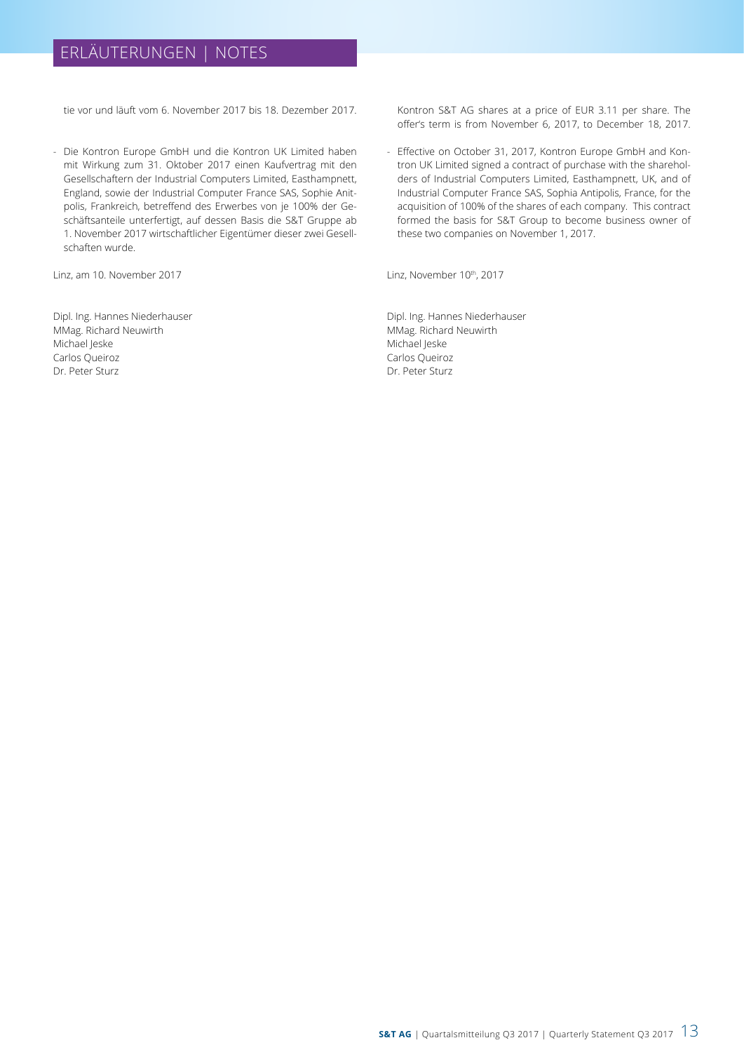# ERLÄUTERUNGEN | NOTES

tie vor und läuft vom 6. November 2017 bis 18. Dezember 2017.

- Die Kontron Europe GmbH und die Kontron UK Limited haben mit Wirkung zum 31. Oktober 2017 einen Kaufvertrag mit den Gesellschaftern der Industrial Computers Limited, Easthampnett, England, sowie der Industrial Computer France SAS, Sophie Anitpolis, Frankreich, betreffend des Erwerbes von je 100% der Geschäftsanteile unterfertigt, auf dessen Basis die S&T Gruppe ab 1. November 2017 wirtschaftlicher Eigentümer dieser zwei Gesellschaften wurde.

Linz, am 10. November 2017

Dipl. Ing. Hannes Niederhauser MMag. Richard Neuwirth Michael Jeske Carlos Queiroz Dr. Peter Sturz

Kontron S&T AG shares at a price of EUR 3.11 per share. The offer's term is from November 6, 2017, to December 18, 2017.

- Effective on October 31, 2017, Kontron Europe GmbH and Kontron UK Limited signed a contract of purchase with the shareholders of Industrial Computers Limited, Easthampnett, UK, and of Industrial Computer France SAS, Sophia Antipolis, France, for the acquisition of 100% of the shares of each company. This contract formed the basis for S&T Group to become business owner of these two companies on November 1, 2017.

Linz, November 10th, 2017

Dipl. Ing. Hannes Niederhauser MMag. Richard Neuwirth Michael Jeske Carlos Queiroz Dr. Peter Sturz